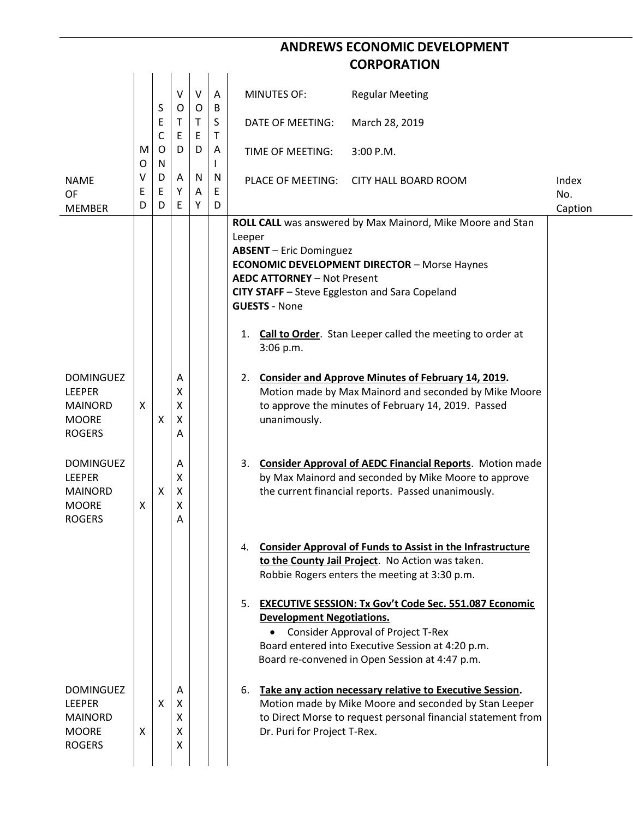## **ANDREWS ECONOMIC DEVELOPMENT CORPORATION**

|                                |             | S                | V<br>O      | $\vee$<br>O | A<br>B      | <b>MINUTES OF:</b>                                  | <b>Regular Meeting</b>                                                                            |              |  |  |
|--------------------------------|-------------|------------------|-------------|-------------|-------------|-----------------------------------------------------|---------------------------------------------------------------------------------------------------|--------------|--|--|
|                                |             | E<br>$\mathsf C$ | Τ<br>E      | T.<br>E     | S<br>Τ      | DATE OF MEETING:                                    | March 28, 2019                                                                                    |              |  |  |
|                                | M<br>O      | O<br>N           | D           | D           | Α           | TIME OF MEETING:                                    | 3:00 P.M.                                                                                         |              |  |  |
| <b>NAME</b><br>OF              | V<br>E<br>D | D<br>E<br>D      | Α<br>Υ<br>E | N<br>A<br>Υ | N<br>E<br>D | PLACE OF MEETING:                                   | <b>CITY HALL BOARD ROOM</b>                                                                       | Index<br>No. |  |  |
| <b>MEMBER</b>                  |             |                  |             |             |             |                                                     |                                                                                                   | Caption      |  |  |
|                                |             |                  |             |             |             |                                                     | ROLL CALL was answered by Max Mainord, Mike Moore and Stan                                        |              |  |  |
|                                |             |                  |             |             |             | Leeper<br><b>ABSENT</b> - Eric Dominguez            |                                                                                                   |              |  |  |
|                                |             |                  |             |             |             | <b>ECONOMIC DEVELOPMENT DIRECTOR - Morse Haynes</b> |                                                                                                   |              |  |  |
|                                |             |                  |             |             |             | <b>AEDC ATTORNEY - Not Present</b>                  |                                                                                                   |              |  |  |
|                                |             |                  |             |             |             |                                                     | CITY STAFF - Steve Eggleston and Sara Copeland                                                    |              |  |  |
|                                |             |                  |             |             |             | <b>GUESTS - None</b>                                |                                                                                                   |              |  |  |
|                                |             |                  |             |             |             |                                                     |                                                                                                   |              |  |  |
|                                |             |                  |             |             |             | 1.<br>3:06 p.m.                                     | Call to Order. Stan Leeper called the meeting to order at                                         |              |  |  |
| <b>DOMINGUEZ</b>               |             |                  | Α           |             |             | 2.                                                  | <b>Consider and Approve Minutes of February 14, 2019.</b>                                         |              |  |  |
| <b>LEEPER</b>                  |             |                  | Χ           |             |             |                                                     | Motion made by Max Mainord and seconded by Mike Moore                                             |              |  |  |
| <b>MAINORD</b>                 | X           |                  | X           |             |             |                                                     | to approve the minutes of February 14, 2019. Passed                                               |              |  |  |
| <b>MOORE</b>                   |             | X                | X           |             |             | unanimously.                                        |                                                                                                   |              |  |  |
| <b>ROGERS</b>                  |             |                  | Α           |             |             |                                                     |                                                                                                   |              |  |  |
|                                |             |                  |             |             |             |                                                     |                                                                                                   |              |  |  |
| <b>DOMINGUEZ</b>               |             |                  | Α           |             |             |                                                     | 3. Consider Approval of AEDC Financial Reports. Motion made                                       |              |  |  |
| <b>LEEPER</b>                  |             |                  | X           |             |             |                                                     | by Max Mainord and seconded by Mike Moore to approve                                              |              |  |  |
| <b>MAINORD</b><br><b>MOORE</b> | X           | X                | X<br>X      |             |             |                                                     | the current financial reports. Passed unanimously.                                                |              |  |  |
| <b>ROGERS</b>                  |             |                  | Α           |             |             |                                                     |                                                                                                   |              |  |  |
|                                |             |                  |             |             |             |                                                     |                                                                                                   |              |  |  |
|                                |             |                  |             |             |             | 4.                                                  | <b>Consider Approval of Funds to Assist in the Infrastructure</b>                                 |              |  |  |
|                                |             |                  |             |             |             |                                                     | to the County Jail Project. No Action was taken.<br>Robbie Rogers enters the meeting at 3:30 p.m. |              |  |  |
|                                |             |                  |             |             |             |                                                     |                                                                                                   |              |  |  |
|                                |             |                  |             |             |             |                                                     | 5. EXECUTIVE SESSION: Tx Gov't Code Sec. 551.087 Economic                                         |              |  |  |
|                                |             |                  |             |             |             | <b>Development Negotiations.</b>                    |                                                                                                   |              |  |  |
|                                |             |                  |             |             |             |                                                     | <b>Consider Approval of Project T-Rex</b>                                                         |              |  |  |
|                                |             |                  |             |             |             |                                                     | Board entered into Executive Session at 4:20 p.m.                                                 |              |  |  |
|                                |             |                  |             |             |             |                                                     | Board re-convened in Open Session at 4:47 p.m.                                                    |              |  |  |
| <b>DOMINGUEZ</b>               |             |                  | A           |             |             | 6.                                                  | Take any action necessary relative to Executive Session.                                          |              |  |  |
| <b>LEEPER</b>                  |             | X                | X           |             |             |                                                     | Motion made by Mike Moore and seconded by Stan Leeper                                             |              |  |  |
| <b>MAINORD</b>                 |             |                  | x           |             |             |                                                     | to Direct Morse to request personal financial statement from                                      |              |  |  |
| <b>MOORE</b>                   | X           |                  | X           |             |             | Dr. Puri for Project T-Rex.                         |                                                                                                   |              |  |  |
| <b>ROGERS</b>                  |             |                  | x           |             |             |                                                     |                                                                                                   |              |  |  |
|                                |             |                  |             |             |             |                                                     |                                                                                                   |              |  |  |